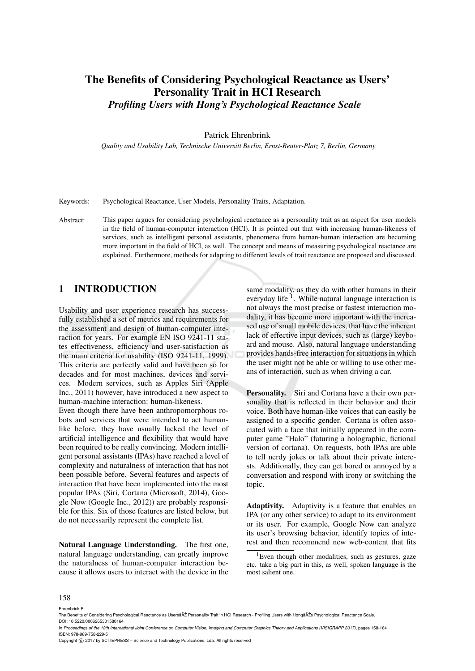# The Benefits of Considering Psychological Reactance as Users' Personality Trait in HCI Research *Profiling Users with Hong's Psychological Reactance Scale*

#### Patrick Ehrenbrink

*Quality and Usability Lab, Technische Universitt Berlin, Ernst-Reuter-Platz 7, Berlin, Germany*

Keywords: Psychological Reactance, User Models, Personality Traits, Adaptation.

Abstract: This paper argues for considering psychological reactance as a personality trait as an aspect for user models in the field of human-computer interaction (HCI). It is pointed out that with increasing human-likeness of services, such as intelligent personal assistants, phenomena from human-human interaction are becoming more important in the field of HCI, as well. The concept and means of measuring psychological reactance are explained. Furthermore, methods for adapting to different levels of trait reactance are proposed and discussed.

### 1 INTRODUCTION

Usability and user experience research has successfully established a set of metrics and requirements for the assessment and design of human-computer interaction for years. For example EN ISO 9241-11 states effectiveness, efficiency and user-satisfaction as the main criteria for usability (ISO 9241-11, 1999). This criteria are perfectly valid and have been so for decades and for most machines, devices and services. Modern services, such as Apples Siri (Apple Inc., 2011) however, have introduced a new aspect to human-machine interaction: human-likeness.

Even though there have been anthropomorphous robots and services that were intended to act humanlike before, they have usually lacked the level of artificial intelligence and flexibility that would have been required to be really convincing. Modern intelligent personal assistants (IPAs) have reached a level of complexity and naturalness of interaction that has not been possible before. Several features and aspects of interaction that have been implemented into the most popular IPAs (Siri, Cortana (Microsoft, 2014), Google Now (Google Inc., 2012)) are probably responsible for this. Six of those features are listed below, but do not necessarily represent the complete list.

Natural Language Understanding. The first one, natural language understanding, can greatly improve the naturalness of human-computer interaction because it allows users to interact with the device in the same modality, as they do with other humans in their everyday life<sup>1</sup>. While natural language interaction is not always the most precise or fastest interaction modality, it has become more important with the increased use of small mobile devices, that have the inherent lack of effective input devices, such as (large) keyboard and mouse. Also, natural language understanding provides hands-free interaction for situations in which the user might not be able or willing to use other means of interaction, such as when driving a car.

Personality. Siri and Cortana have a their own personality that is reflected in their behavior and their voice. Both have human-like voices that can easily be assigned to a specific gender. Cortana is often associated with a face that initially appeared in the computer game "Halo" (faturing a holographic, fictional version of cortana). On requests, both IPAs are able to tell nerdy jokes or talk about their private interests. Additionally, they can get bored or annoyed by a conversation and respond with irony or switching the topic.

Adaptivity. Adaptivity is a feature that enables an IPA (or any other service) to adapt to its environment or its user. For example, Google Now can analyze its user's browsing behavior, identify topics of interest and then recommend new web-content that fits

#### 158

Ehrenbrink P.

<sup>&</sup>lt;sup>1</sup>Even though other modalities, such as gestures, gaze etc. take a big part in this, as well, spoken language is the most salient one.

The Benefits of Considering Psychological Reactance as UsersâAŽ Personality Trait in HCI Research - Profiling Users with HongâĂŽs Psychological Reactance Scale DOI: 10.5220/0006265301580164

In *Proceedings of the 12th International Joint Conference on Computer Vision, Imaging and Computer Graphics Theory and Applications (VISIGRAPP 2017)*, pages 158-164 ISBN: 978-989-758-229-5

Copyright C 2017 by SCITEPRESS - Science and Technology Publications, Lda. All rights reserved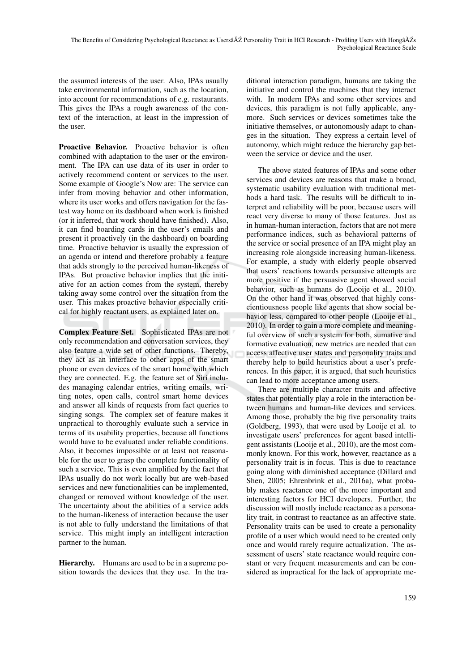the assumed interests of the user. Also, IPAs usually take environmental information, such as the location, into account for recommendations of e.g. restaurants. This gives the IPAs a rough awareness of the context of the interaction, at least in the impression of the user.

Proactive Behavior. Proactive behavior is often combined with adaptation to the user or the environment. The IPA can use data of its user in order to actively recommend content or services to the user. Some example of Google's Now are: The service can infer from moving behavior and other information, where its user works and offers navigation for the fastest way home on its dashboard when work is finished (or it inferred, that work should have finished). Also, it can find boarding cards in the user's emails and present it proactively (in the dashboard) on boarding time. Proactive behavior is usually the expression of an agenda or intend and therefore probably a feature that adds strongly to the perceived human-likeness of IPAs. But proactive behavior implies that the initiative for an action comes from the system, thereby taking away some control over the situation from the user. This makes proactive behavior especially critical for highly reactant users, as explained later on.

Complex Feature Set. Sophisticated IPAs are not only recommendation and conversation services, they also feature a wide set of other functions. Thereby, they act as an interface to other apps of the smart phone or even devices of the smart home with which they are connected. E.g. the feature set of Siri includes managing calendar entries, writing emails, writing notes, open calls, control smart home devices and answer all kinds of requests from fact queries to singing songs. The complex set of feature makes it unpractical to thoroughly evaluate such a service in terms of its usability properties, because all functions would have to be evaluated under reliable conditions. Also, it becomes impossible or at least not reasonable for the user to grasp the complete functionality of such a service. This is even amplified by the fact that IPAs usually do not work locally but are web-based services and new functionalities can be implemented, changed or removed without knowledge of the user. The uncertainty about the abilities of a service adds to the human-likeness of interaction because the user is not able to fully understand the limitations of that service. This might imply an intelligent interaction partner to the human.

Hierarchy. Humans are used to be in a supreme position towards the devices that they use. In the tra-

ditional interaction paradigm, humans are taking the initiative and control the machines that they interact with. In modern IPAs and some other services and devices, this paradigm is not fully applicable, anymore. Such services or devices sometimes take the initiative themselves, or autonomously adapt to changes in the situation. They express a certain level of autonomy, which might reduce the hierarchy gap between the service or device and the user.

The above stated features of IPAs and some other services and devices are reasons that make a broad, systematic usability evaluation with traditional methods a hard task. The results will be difficult to interpret and reliability will be poor, because users will react very diverse to many of those features. Just as in human-human interaction, factors that are not mere performance indices, such as behavioral patterns of the service or social presence of an IPA might play an increasing role alongside increasing human-likeness. For example, a study with elderly people observed that users' reactions towards persuasive attempts are more positive if the persuasive agent showed social behavior, such as humans do (Looije et al., 2010). On the other hand it was observed that highly conscientiousness people like agents that show social behavior less, compared to other people (Looije et al., 2010). In order to gain a more complete and meaningful overview of such a system for both, sumative and formative evaluation, new metrics are needed that can access affective user states and personality traits and thereby help to build heuristics about a user's preferences. In this paper, it is argued, that such heuristics can lead to more acceptance among users.

There are multiple character traits and affective states that potentially play a role in the interaction between humans and human-like devices and services. Among those, probably the big five personality traits (Goldberg, 1993), that were used by Looije et al. to investigate users' preferences for agent based intelligent assistants (Looije et al., 2010), are the most commonly known. For this work, however, reactance as a personality trait is in focus. This is due to reactance going along with diminished acceptance (Dillard and Shen, 2005; Ehrenbrink et al., 2016a), what probably makes reactance one of the more important and interesting factors for HCI developers. Further, the discussion will mostly include reactance as a personality trait, in contrast to reactance as an affective state. Personality traits can be used to create a personality profile of a user which would need to be created only once and would rarely require actualization. The assessment of users' state reactance would require constant or very frequent measurements and can be considered as impractical for the lack of appropriate me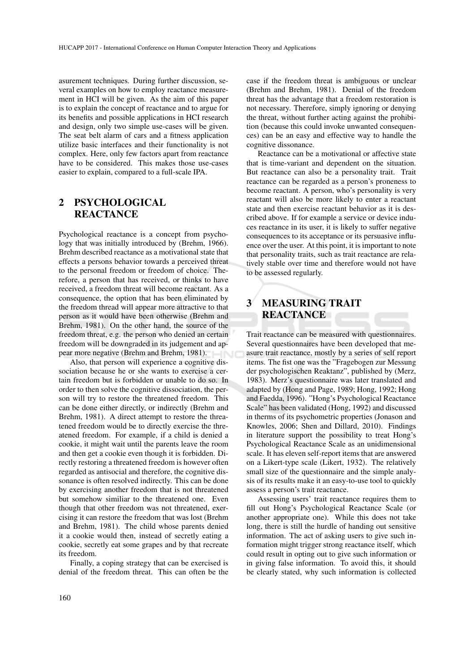asurement techniques. During further discussion, several examples on how to employ reactance measurement in HCI will be given. As the aim of this paper is to explain the concept of reactance and to argue for its benefits and possible applications in HCI research and design, only two simple use-cases will be given. The seat belt alarm of cars and a fitness application utilize basic interfaces and their functionality is not complex. Here, only few factors apart from reactance have to be considered. This makes those use-cases easier to explain, compared to a full-scale IPA.

## 2 PSYCHOLOGICAL **REACTANCE**

Psychological reactance is a concept from psychology that was initially introduced by (Brehm, 1966). Brehm described reactance as a motivational state that effects a persons behavior towards a perceived threat to the personal freedom or freedom of choice. Therefore, a person that has received, or thinks to have received, a freedom threat will become reactant. As a consequence, the option that has been eliminated by the freedom thread will appear more attractive to that person as it would have been otherwise (Brehm and Brehm, 1981). On the other hand, the source of the freedom threat, e.g. the person who denied an certain freedom will be downgraded in its judgement and appear more negative (Brehm and Brehm, 1981).

Also, that person will experience a cognitive dissociation because he or she wants to exercise a certain freedom but is forbidden or unable to do so. In order to then solve the cognitive dissociation, the person will try to restore the threatened freedom. This can be done either directly, or indirectly (Brehm and Brehm, 1981). A direct attempt to restore the threatened freedom would be to directly exercise the threatened freedom. For example, if a child is denied a cookie, it might wait until the parents leave the room and then get a cookie even though it is forbidden. Directly restoring a threatened freedom is however often regarded as antisocial and therefore, the cognitive dissonance is often resolved indirectly. This can be done by exercising another freedom that is not threatened but somehow similiar to the threatened one. Even though that other freedom was not threatened, exercising it can restore the freedom that was lost (Brehm and Brehm, 1981). The child whose parents denied it a cookie would then, instead of secretly eating a cookie, secretly eat some grapes and by that recreate its freedom.

Finally, a coping strategy that can be exercised is denial of the freedom threat. This can often be the case if the freedom threat is ambiguous or unclear (Brehm and Brehm, 1981). Denial of the freedom threat has the advantage that a freedom restoration is not necessary. Therefore, simply ignoring or denying the threat, without further acting against the prohibition (because this could invoke unwanted consequences) can be an easy and effective way to handle the cognitive dissonance.

Reactance can be a motivational or affective state that is time-variant and dependent on the situation. But reactance can also be a personality trait. Trait reactance can be regarded as a person's proneness to become reactant. A person, who's personality is very reactant will also be more likely to enter a reactant state and then exercise reactant behavior as it is described above. If for example a service or device induces reactance in its user, it is likely to suffer negative consequences to its acceptance or its persuasive influence over the user. At this point, it is important to note that personality traits, such as trait reactance are relatively stable over time and therefore would not have to be assessed regularly.

# 3 MEASURING TRAIT REACTANCE

Trait reactance can be measured with questionnaires. Several questionnaires have been developed that measure trait reactance, mostly by a series of self report items. The fist one was the "Fragebogen zur Messung der psychologischen Reaktanz", published by (Merz, 1983). Merz's questionnaire was later translated and adapted by (Hong and Page, 1989; Hong, 1992; Hong and Faedda, 1996). "Hong's Psychological Reactance Scale" has been validated (Hong, 1992) and discussed in therms of its psychometric properties (Jonason and Knowles, 2006; Shen and Dillard, 2010). Findings in literature support the possibility to treat Hong's Psychological Reactance Scale as an unidimensional scale. It has eleven self-report items that are answered on a Likert-type scale (Likert, 1932). The relatively small size of the questionnaire and the simple analysis of its results make it an easy-to-use tool to quickly assess a person's trait reactance.

Assessing users' trait reactance requires them to fill out Hong's Psychological Reactance Scale (or another appropriate one). While this does not take long, there is still the hurdle of handing out sensitive information. The act of asking users to give such information might trigger strong reactance itself, which could result in opting out to give such information or in giving false information. To avoid this, it should be clearly stated, why such information is collected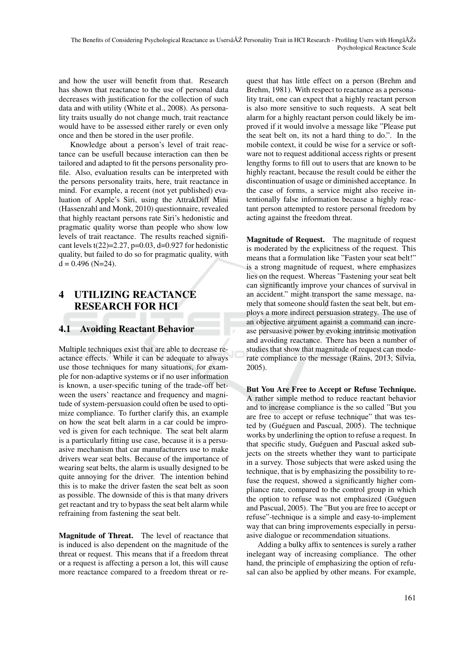and how the user will benefit from that. Research has shown that reactance to the use of personal data decreases with justification for the collection of such data and with utility (White et al., 2008). As personality traits usually do not change much, trait reactance would have to be assessed either rarely or even only once and then be stored in the user profile.

Knowledge about a person's level of trait reactance can be usefull because interaction can then be tailored and adapted to fit the persons personality profile. Also, evaluation results can be interpreted with the persons personality traits, here, trait reactance in mind. For example, a recent (not yet published) evaluation of Apple's Siri, using the AttrakDiff Mini (Hassenzahl and Monk, 2010) questionnaire, revealed that highly reactant persons rate Siri's hedonistic and pragmatic quality worse than people who show low levels of trait reactance. The results reached significant levels t(22)=2.27, p=0.03, d=0.927 for hedonistic quality, but failed to do so for pragmatic quality, with  $d = 0.496$  (N=24).

# 4 UTILIZING REACTANCE RESEARCH FOR HCI

#### 4.1 Avoiding Reactant Behavior

Multiple techniques exist that are able to decrease reactance effects. While it can be adequate to always use those techniques for many situations, for example for non-adaptive systems or if no user information is known, a user-specific tuning of the trade-off between the users' reactance and frequency and magnitude of system-persuasion could often be used to optimize compliance. To further clarify this, an example on how the seat belt alarm in a car could be improved is given for each technique. The seat belt alarm is a particularly fitting use case, because it is a persuasive mechanism that car manufacturers use to make drivers wear seat belts. Because of the importance of wearing seat belts, the alarm is usually designed to be quite annoying for the driver. The intention behind this is to make the driver fasten the seat belt as soon as possible. The downside of this is that many drivers get reactant and try to bypass the seat belt alarm while refraining from fastening the seat belt.

Magnitude of Threat. The level of reactance that is induced is also dependent on the magnitude of the threat or request. This means that if a freedom threat or a request is affecting a person a lot, this will cause more reactance compared to a freedom threat or request that has little effect on a person (Brehm and Brehm, 1981). With respect to reactance as a personality trait, one can expect that a highly reactant person is also more sensitive to such requests. A seat belt alarm for a highly reactant person could likely be improved if it would involve a message like "Please put the seat belt on, its not a hard thing to do.". In the mobile context, it could be wise for a service or software not to request additional access rights or present lengthy forms to fill out to users that are known to be highly reactant, because the result could be either the discontinuation of usage or diminished acceptance. In the case of forms, a service might also receive intentionally false information because a highly reactant person attempted to restore personal freedom by acting against the freedom threat.

Magnitude of Request. The magnitude of request is moderated by the explicitness of the request. This means that a formulation like "Fasten your seat belt!" is a strong magnitude of request, where emphasizes lies on the request. Whereas "Fastening your seat belt can significantly improve your chances of survival in an accident." might transport the same message, namely that someone should fasten the seat belt, but employs a more indirect persuasion strategy. The use of an objective argument against a command can increase persuasive power by evoking intrinsic motivation and avoiding reactance. There has been a number of studies that show that magnitude of request can moderate compliance to the message (Rains, 2013; Silvia, 2005).

But You Are Free to Accept or Refuse Technique. A rather simple method to reduce reactant behavior and to increase compliance is the so called "But you are free to accept or refuse technique" that was tested by (Guéguen and Pascual, 2005). The technique works by underlining the option to refuse a request. In that specific study, Guéguen and Pascual asked subjects on the streets whether they want to participate in a survey. Those subjects that were asked using the technique, that is by emphasizing the possibility to refuse the request, showed a significantly higher compliance rate, compared to the control group in which the option to refuse was not emphasized (Guéguen and Pascual, 2005). The "But you are free to accept or refuse"-technique is a simple and easy-to-implement way that can bring improvements especially in persuasive dialogue or recommendation situations.

Adding a bulky affix to sentences is surely a rather inelegant way of increasing compliance. The other hand, the principle of emphasizing the option of refusal can also be applied by other means. For example,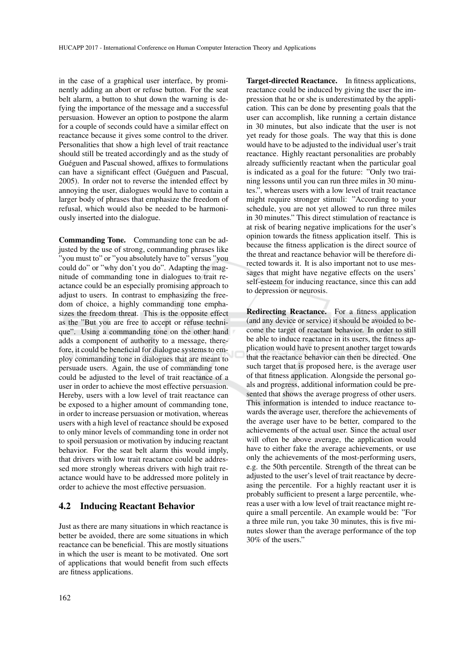in the case of a graphical user interface, by prominently adding an abort or refuse button. For the seat belt alarm, a button to shut down the warning is defying the importance of the message and a successful persuasion. However an option to postpone the alarm for a couple of seconds could have a similar effect on reactance because it gives some control to the driver. Personalities that show a high level of trait reactance should still be treated accordingly and as the study of Guéguen and Pascual showed, affixes to formulations can have a significant effect (Guéguen and Pascual, 2005). In order not to reverse the intended effect by annoying the user, dialogues would have to contain a larger body of phrases that emphasize the freedom of refusal, which would also be needed to be harmoniously inserted into the dialogue.

Commanding Tone. Commanding tone can be adjusted by the use of strong, commanding phrases like "you must to" or "you absolutely have to" versus "you could do" or "why don't you do". Adapting the magnitude of commanding tone in dialogues to trait reactance could be an especially promising approach to adjust to users. In contrast to emphasizing the freedom of choice, a highly commanding tone emphasizes the freedom threat. This is the opposite effect as the "But you are free to accept or refuse technique". Using a commanding tone on the other hand adds a component of authority to a message, therefore, it could be beneficial for dialogue systems to employ commanding tone in dialogues that are meant to persuade users. Again, the use of commanding tone could be adjusted to the level of trait reactance of a user in order to achieve the most effective persuasion. Hereby, users with a low level of trait reactance can be exposed to a higher amount of commanding tone, in order to increase persuasion or motivation, whereas users with a high level of reactance should be exposed to only minor levels of commanding tone in order not to spoil persuasion or motivation by inducing reactant behavior. For the seat belt alarm this would imply, that drivers with low trait reactance could be addressed more strongly whereas drivers with high trait reactance would have to be addressed more politely in order to achieve the most effective persuasion.

#### 4.2 Inducing Reactant Behavior

Just as there are many situations in which reactance is better be avoided, there are some situations in which reactance can be beneficial. This are mostly situations in which the user is meant to be motivated. One sort of applications that would benefit from such effects are fitness applications.

Target-directed Reactance. In fitness applications, reactance could be induced by giving the user the impression that he or she is underestimated by the application. This can be done by presenting goals that the user can accomplish, like running a certain distance in 30 minutes, but also indicate that the user is not yet ready for those goals. The way that this is done would have to be adjusted to the individual user's trait reactance. Highly reactant personalities are probably already sufficiently reactant when the particular goal is indicated as a goal for the future: "Only two training lessons until you can run three miles in 30 minutes.", whereas users with a low level of trait reactance might require stronger stimuli: "According to your schedule, you are not yet allowed to run three miles in 30 minutes." This direct stimulation of reactance is at risk of bearing negative implications for the user's opinion towards the fitness application itself. This is because the fitness application is the direct source of the threat and reactance behavior will be therefore directed towards it. It is also important not to use messages that might have negative effects on the users' self-esteem for inducing reactance, since this can add to depression or neurosis.

Redirecting Reactance. For a fitness application (and any device or service) it should be avoided to become the target of reactant behavior. In order to still be able to induce reactance in its users, the fitness application would have to present another target towards that the reactance behavior can then be directed. One such target that is proposed here, is the average user of that fitness application. Alongside the personal goals and progress, additional information could be presented that shows the average progress of other users. This information is intended to induce reactance towards the average user, therefore the achievements of the average user have to be better, compared to the achievements of the actual user. Since the actual user will often be above average, the application would have to either fake the average achievements, or use only the achievements of the most-performing users, e.g. the 50th percentile. Strength of the threat can be adjusted to the user's level of trait reactance by decreasing the percentile. For a highly reactant user it is probably sufficient to present a large percentile, whereas a user with a low level of trait reactance might require a small percentile. An example would be: "For a three mile run, you take 30 minutes, this is five minutes slower than the average performance of the top 30% of the users."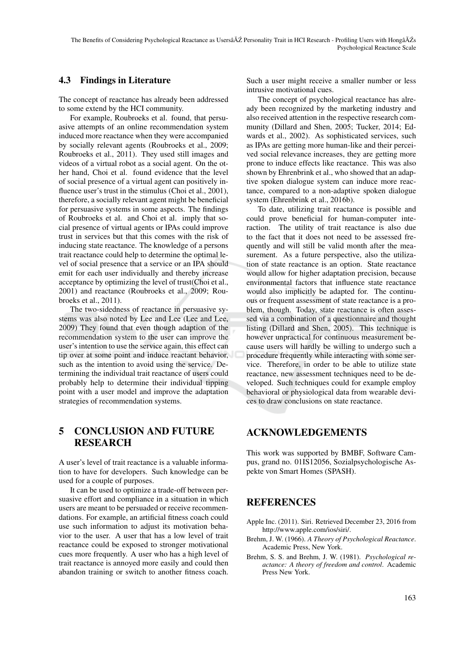### 4.3 Findings in Literature

The concept of reactance has already been addressed to some extend by the HCI community.

For example, Roubroeks et al. found, that persuasive attempts of an online recommendation system induced more reactance when they were accompanied by socially relevant agents (Roubroeks et al., 2009; Roubroeks et al., 2011). They used still images and videos of a virtual robot as a social agent. On the other hand, Choi et al. found evidence that the level of social presence of a virtual agent can positively influence user's trust in the stimulus (Choi et al., 2001), therefore, a socially relevant agent might be beneficial for persuasive systems in some aspects. The findings of Roubroeks et al. and Choi et al. imply that social presence of virtual agents or IPAs could improve trust in services but that this comes with the risk of inducing state reactance. The knowledge of a persons trait reactance could help to determine the optimal level of social presence that a service or an IPA should emit for each user individually and thereby increase acceptance by optimizing the level of trust(Choi et al., 2001) and reactance (Roubroeks et al., 2009; Roubroeks et al., 2011).

The two-sidedness of reactance in persuasive systems was also noted by Lee and Lee (Lee and Lee, 2009) They found that even though adaption of the recommendation system to the user can improve the user's intention to use the service again, this effect can tip over at some point and induce reactant behavior, such as the intention to avoid using the service. Determining the individual trait reactance of users could probably help to determine their individual tipping point with a user model and improve the adaptation strategies of recommendation systems.

## 5 CONCLUSION AND FUTURE RESEARCH

A user's level of trait reactance is a valuable information to have for developers. Such knowledge can be used for a couple of purposes.

It can be used to optimize a trade-off between persuasive effort and compliance in a situation in which users are meant to be persuaded or receive recommendations. For example, an artificial fitness coach could use such information to adjust its motivation behavior to the user. A user that has a low level of trait reactance could be exposed to stronger motivational cues more frequently. A user who has a high level of trait reactance is annoyed more easily and could then abandon training or switch to another fitness coach.

Such a user might receive a smaller number or less intrusive motivational cues.

The concept of psychological reactance has already been recognized by the marketing industry and also received attention in the respective research community (Dillard and Shen, 2005; Tucker, 2014; Edwards et al., 2002). As sophisticated services, such as IPAs are getting more human-like and their perceived social relevance increases, they are getting more prone to induce effects like reactance. This was also shown by Ehrenbrink et al., who showed that an adaptive spoken dialogue system can induce more reactance, compared to a non-adaptive spoken dialogue system (Ehrenbrink et al., 2016b).

To date, utilizing trait reactance is possible and could prove beneficial for human-computer interaction. The utility of trait reactance is also due to the fact that it does not need to be assessed frequently and will still be valid month after the measurement. As a future perspective, also the utilization of state reactance is an option. State reactance would allow for higher adaptation precision, because environmental factors that influence state reactance would also implicitly be adapted for. The continuous or frequent assessment of state reactance is a problem, though. Today, state reactance is often assessed via a combination of a questionnaire and thought listing (Dillard and Shen, 2005). This technique is however unpractical for continuous measurement because users will hardly be willing to undergo such a procedure frequently while interacting with some service. Therefore, in order to be able to utilize state reactance, new assessment techniques need to be developed. Such techniques could for example employ behavioral or physiological data from wearable devices to draw conclusions on state reactance.

## ACKNOWLEDGEMENTS

This work was supported by BMBF, Software Campus, grand no. 01IS12056, Sozialpsychologische Aspekte von Smart Homes (SPASH).

### **REFERENCES**

- Apple Inc. (2011). Siri. Retrieved December 23, 2016 from http://www.apple.com/ios/siri/.
- Brehm, J. W. (1966). *A Theory of Psychological Reactance*. Academic Press, New York.
- Brehm, S. S. and Brehm, J. W. (1981). *Psychological reactance: A theory of freedom and control*. Academic Press New York.